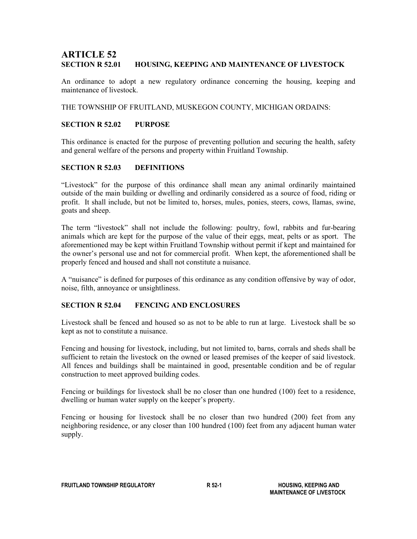# ARTICLE 52 SECTION R 52.01 HOUSING, KEEPING AND MAINTENANCE OF LIVESTOCK

An ordinance to adopt a new regulatory ordinance concerning the housing, keeping and maintenance of livestock.

THE TOWNSHIP OF FRUITLAND, MUSKEGON COUNTY, MICHIGAN ORDAINS:

### SECTION R 52.02 PURPOSE

This ordinance is enacted for the purpose of preventing pollution and securing the health, safety and general welfare of the persons and property within Fruitland Township.

## SECTION R 52.03 DEFINITIONS

"Livestock" for the purpose of this ordinance shall mean any animal ordinarily maintained outside of the main building or dwelling and ordinarily considered as a source of food, riding or profit. It shall include, but not be limited to, horses, mules, ponies, steers, cows, llamas, swine, goats and sheep.

The term "livestock" shall not include the following: poultry, fowl, rabbits and fur-bearing animals which are kept for the purpose of the value of their eggs, meat, pelts or as sport. The aforementioned may be kept within Fruitland Township without permit if kept and maintained for the owner's personal use and not for commercial profit. When kept, the aforementioned shall be properly fenced and housed and shall not constitute a nuisance.

A "nuisance" is defined for purposes of this ordinance as any condition offensive by way of odor, noise, filth, annoyance or unsightliness.

# SECTION R 52.04 FENCING AND ENCLOSURES

Livestock shall be fenced and housed so as not to be able to run at large. Livestock shall be so kept as not to constitute a nuisance.

Fencing and housing for livestock, including, but not limited to, barns, corrals and sheds shall be sufficient to retain the livestock on the owned or leased premises of the keeper of said livestock. All fences and buildings shall be maintained in good, presentable condition and be of regular construction to meet approved building codes.

Fencing or buildings for livestock shall be no closer than one hundred (100) feet to a residence, dwelling or human water supply on the keeper's property.

Fencing or housing for livestock shall be no closer than two hundred (200) feet from any neighboring residence, or any closer than 100 hundred (100) feet from any adjacent human water supply.